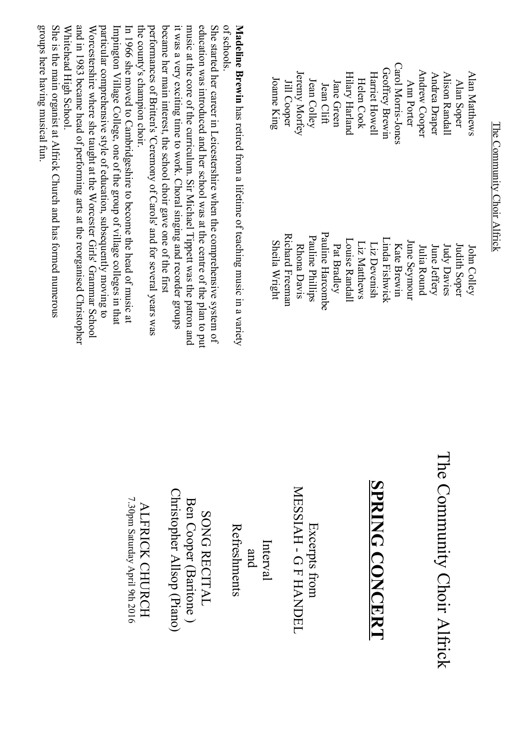The Community Choir Alfrick The Community Choir Alfrick

| Joanne King   | Jill Cooper     | Jeremy Morfey | Jean Colley      | Jean Clift       | Jane Green  | <b>Hilary Harland</b> | Helen Cook   | Harriet Howell | <b>Geoffrey Brewin</b> | Carol Morris-Jones | Ann Porter   | Andrew Cooper | Andrea Draper | Alison Randall | Alan Soper          | Alan Matthews |
|---------------|-----------------|---------------|------------------|------------------|-------------|-----------------------|--------------|----------------|------------------------|--------------------|--------------|---------------|---------------|----------------|---------------------|---------------|
| Sheila Wright | Richard Freeman | Rhona Davis   | Pauline Phillips | Pauline Harcombe | Pat Bradley | Louise Randall        | Liz Matthews | Liz Devenish   | Linda Fishwick         | Kate Brewin        | June Seymour | Julia Round   | June Jeffery  | Judy Davies    | <b>Judith Soper</b> | John Colley   |

of schools. Madeline Brewin has retired from a lifetime of teaching music in a variety of schools. **Madeline Brewin**has retired from a lifetime of teaching music in a variety

performances of Britten's 'Ceremony of Carols' and for several years was became her main interest, the school choir gave one of the first it was a very exciting time to work. Choral singing and recorder groups music at the core of the curriculum. Sir Michael Tippett was the patron and education was introduced and her school was at the centre of the plan to put She started her career in Leicestershire when the comprehensive system of the county's champion choir. the county's champion choir. performances of Britten's 'Ceremony of Carols' and for several years was became her main interest, the school choir gave one of the first it was a very exciting time to work. Choral singing and recorder groups music at the core of the curriculum. Sir Michael Tippett was the patron and education was introduced and her school was at the centre of the plan to put She started her career in Leicestershire when the comprehensive system of

Whitehead High School and in 1983 became head of performing arts at the reorganised Christopher particular comprehensive style of education, subsequently moving to Whitehead High School. and in 1983 became head of performing arts at the reorganised Christopher Worcestershire where she taught at the Worcester Girls' Grammar School Worcestershire where she taught at the Worcester Girls' Grammar School particular comprehensive style of education, subsequently moving to Impington  $V$ ulage College, one of the group of village colleges in that Impington Village College, one of the group of village colleges in that In 1966 she moved to Cambridgeshire to become the head of music at In 1966 she moved to Cambridgeshire to become the head of music at

groups here having musical tun. She is the main organist at Alfrick Church and has formed numerous groups here having musical fun. She is the main organist at Alfrick Church and has formed numerous

> The Community Choir Alfrick The Community Choir Alfrick

## SPRING CONCERT **SPRING CONCERT**

MESSIAH - GFHANDEL MESSIAH - G F HANDEL Excerpts from Excerpts from

**Refreshments** Refreshments Interval and

Ben Cooper (Baritone ) SONG RECITAL SONG RECITAL

ALFRICK CHURCH

Christopher Allsop (Piano)

Ben Cooper (Baritone)<br>Christopher Allsop (Piano)

ALFRICK CHURCH

7.30pm Saturday April 9th 2016 7.30pm Saturday April 9th 2016